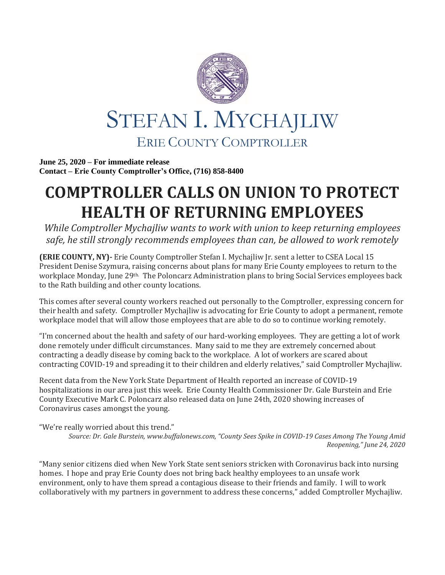

**June 25, 2020 – For immediate release Contact – Erie County Comptroller's Office, (716) 858-8400**

## **COMPTROLLER CALLS ON UNION TO PROTECT HEALTH OF RETURNING EMPLOYEES**

*While Comptroller Mychajliw wants to work with union to keep returning employees safe, he still strongly recommends employees than can, be allowed to work remotely*

**(ERIE COUNTY, NY)-** Erie County Comptroller Stefan I. Mychajliw Jr. sent a letter to CSEA Local 15 President Denise Szymura, raising concerns about plans for many Erie County employees to return to the workplace Monday, June 29th. The Poloncarz Administration plans to bring Social Services employees back to the Rath building and other county locations.

This comes after several county workers reached out personally to the Comptroller, expressing concern for their health and safety. Comptroller Mychajliw is advocating for Erie County to adopt a permanent, remote workplace model that will allow those employees that are able to do so to continue working remotely.

"I'm concerned about the health and safety of our hard-working employees. They are getting a lot of work done remotely under difficult circumstances. Many said to me they are extremely concerned about contracting a deadly disease by coming back to the workplace. A lot of workers are scared about contracting COVID-19 and spreading it to their children and elderly relatives," said Comptroller Mychajliw.

Recent data from the New York State Department of Health reported an increase of COVID-19 hospitalizations in our area just this week. Erie County Health Commissioner Dr. Gale Burstein and Erie County Executive Mark C. Poloncarz also released data on June 24th, 2020 showing increases of Coronavirus cases amongst the young.

"We're really worried about this trend." *Source: Dr. Gale Burstein, www.buffalonews.com, "County Sees Spike in COVID-19 Cases Among The Young Amid Reopening," June 24, 2020*

"Many senior citizens died when New York State sent seniors stricken with Coronavirus back into nursing homes. I hope and pray Erie County does not bring back healthy employees to an unsafe work environment, only to have them spread a contagious disease to their friends and family. I will to work collaboratively with my partners in government to address these concerns," added Comptroller Mychajliw.